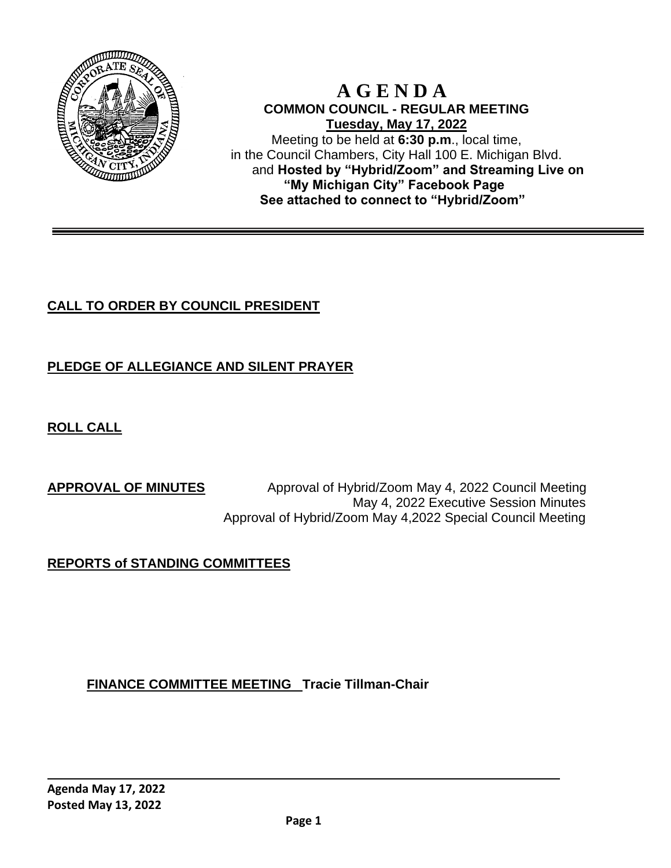

#### **A G E N D A COMMON COUNCIL - REGULAR MEETING Tuesday, May 17, 2022** Meeting to be held at **6:30 p.m**., local time, in the Council Chambers, City Hall 100 E. Michigan Blvd. and **Hosted by "Hybrid/Zoom" and Streaming Live on "My Michigan City" Facebook Page See attached to connect to "Hybrid/Zoom"**

# **CALL TO ORDER BY COUNCIL PRESIDENT**

# **PLEDGE OF ALLEGIANCE AND SILENT PRAYER**

**ROLL CALL**

**APPROVAL OF MINUTES** Approval of Hybrid/Zoom May 4, 2022 Council Meeting May 4, 2022 Executive Session Minutes Approval of Hybrid/Zoom May 4,2022 Special Council Meeting

# **REPORTS of STANDING COMMITTEES**

**FINANCE COMMITTEE MEETING Tracie Tillman-Chair**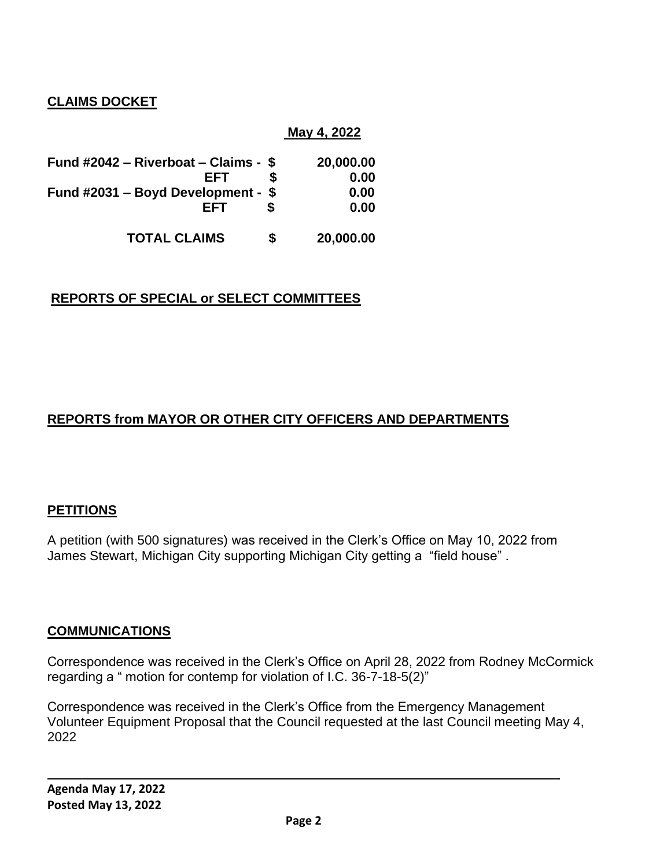## **CLAIMS DOCKET**

|                                      |   | May 4, 2022 |
|--------------------------------------|---|-------------|
| Fund #2042 – Riverboat – Claims - \$ |   | 20,000.00   |
| FFT                                  | S | 0.00        |
| Fund #2031 - Boyd Development - \$   |   | 0.00        |
| <b>FFT</b>                           |   | 0.00        |
| <b>TOTAL CLAIMS</b>                  | S | 20,000.00   |

### **REPORTS OF SPECIAL or SELECT COMMITTEES**

# **REPORTS from MAYOR OR OTHER CITY OFFICERS AND DEPARTMENTS**

### **PETITIONS**

A petition (with 500 signatures) was received in the Clerk's Office on May 10, 2022 from James Stewart, Michigan City supporting Michigan City getting a "field house" .

#### **COMMUNICATIONS**

Correspondence was received in the Clerk's Office on April 28, 2022 from Rodney McCormick regarding a " motion for contemp for violation of I.C. 36-7-18-5(2)"

Correspondence was received in the Clerk's Office from the Emergency Management Volunteer Equipment Proposal that the Council requested at the last Council meeting May 4, 2022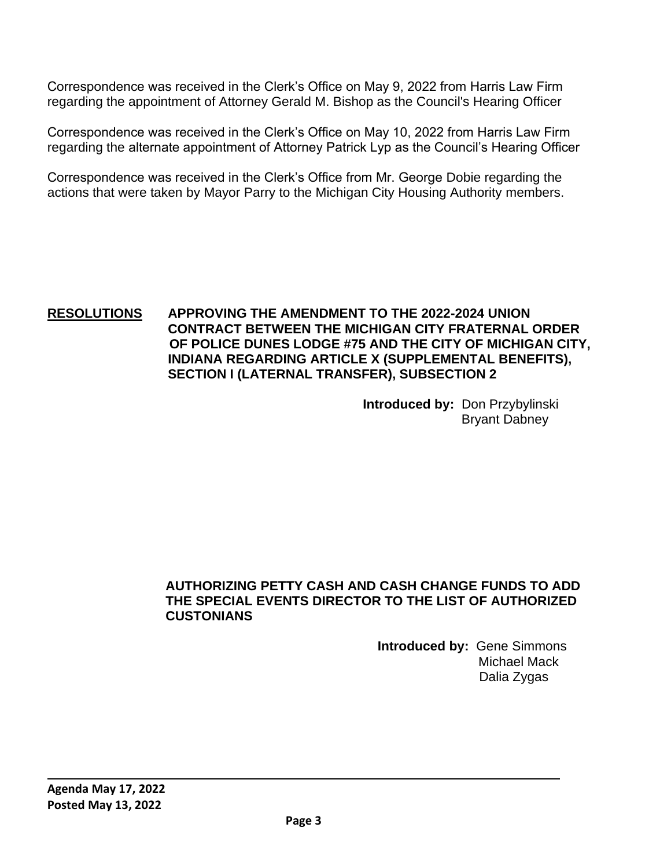Correspondence was received in the Clerk's Office on May 9, 2022 from Harris Law Firm regarding the appointment of Attorney Gerald M. Bishop as the Council's Hearing Officer

Correspondence was received in the Clerk's Office on May 10, 2022 from Harris Law Firm regarding the alternate appointment of Attorney Patrick Lyp as the Council's Hearing Officer

Correspondence was received in the Clerk's Office from Mr. George Dobie regarding the actions that were taken by Mayor Parry to the Michigan City Housing Authority members.

#### **RESOLUTIONS APPROVING THE AMENDMENT TO THE 2022-2024 UNION CONTRACT BETWEEN THE MICHIGAN CITY FRATERNAL ORDER OF POLICE DUNES LODGE #75 AND THE CITY OF MICHIGAN CITY, INDIANA REGARDING ARTICLE X (SUPPLEMENTAL BENEFITS), SECTION I (LATERNAL TRANSFER), SUBSECTION 2**

**Introduced by:** Don Przybylinski Bryant Dabney

#### **AUTHORIZING PETTY CASH AND CASH CHANGE FUNDS TO ADD THE SPECIAL EVENTS DIRECTOR TO THE LIST OF AUTHORIZED CUSTONIANS**

 **Introduced by:** Gene Simmons Michael Mack Dalia Zygas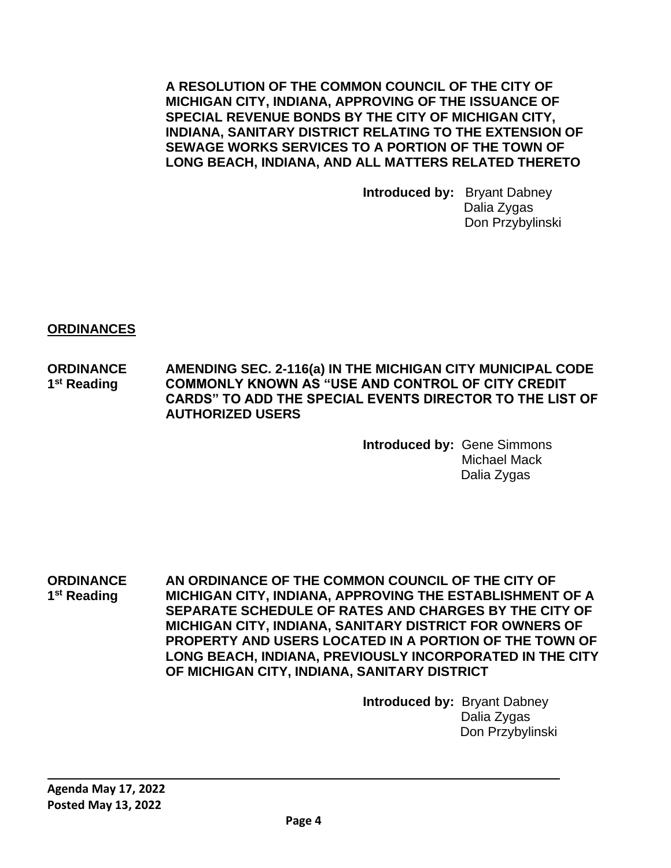**A RESOLUTION OF THE COMMON COUNCIL OF THE CITY OF MICHIGAN CITY, INDIANA, APPROVING OF THE ISSUANCE OF SPECIAL REVENUE BONDS BY THE CITY OF MICHIGAN CITY, INDIANA, SANITARY DISTRICT RELATING TO THE EXTENSION OF SEWAGE WORKS SERVICES TO A PORTION OF THE TOWN OF LONG BEACH, INDIANA, AND ALL MATTERS RELATED THERETO**

> **Introduced by:** Bryant Dabney Dalia Zygas Don Przybylinski

**ORDINANCES** 

**ORDINANCE AMENDING SEC. 2-116(a) IN THE MICHIGAN CITY MUNICIPAL CODE**  1<sup>st</sup> Reading **COMMONLY KNOWN AS "USE AND CONTROL OF CITY CREDIT CARDS" TO ADD THE SPECIAL EVENTS DIRECTOR TO THE LIST OF AUTHORIZED USERS**

> **Introduced by:** Gene Simmons Michael Mack Dalia Zygas

**ORDINANCE AN ORDINANCE OF THE COMMON COUNCIL OF THE CITY OF** 1<sup>st</sup> Reading **st Reading MICHIGAN CITY, INDIANA, APPROVING THE ESTABLISHMENT OF A SEPARATE SCHEDULE OF RATES AND CHARGES BY THE CITY OF MICHIGAN CITY, INDIANA, SANITARY DISTRICT FOR OWNERS OF PROPERTY AND USERS LOCATED IN A PORTION OF THE TOWN OF LONG BEACH, INDIANA, PREVIOUSLY INCORPORATED IN THE CITY OF MICHIGAN CITY, INDIANA, SANITARY DISTRICT**

> **Introduced by:** Bryant Dabney Dalia Zygas Don Przybylinski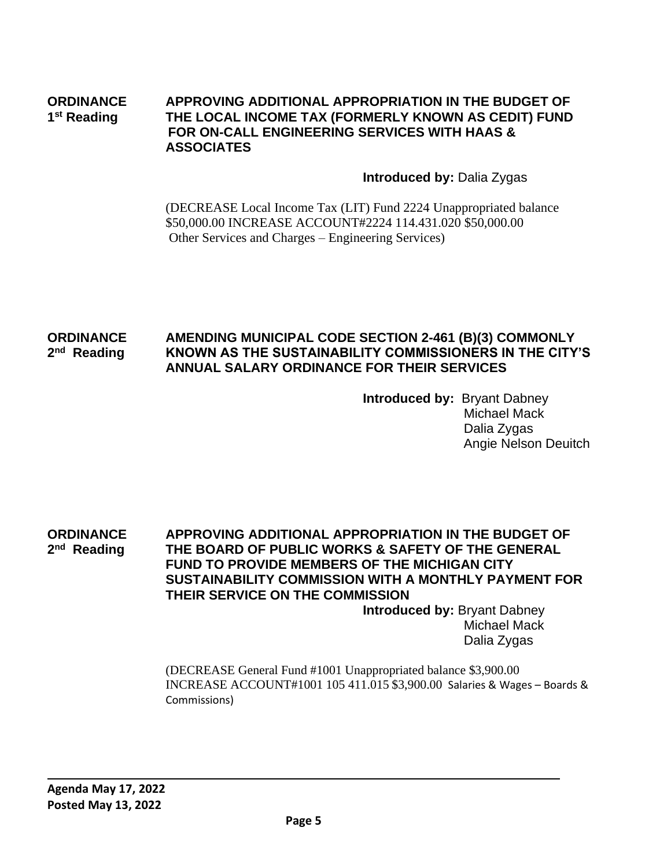#### **ORDINANCE APPROVING ADDITIONAL APPROPRIATION IN THE BUDGET OF** 1<sup>st</sup> Reading **st Reading THE LOCAL INCOME TAX (FORMERLY KNOWN AS CEDIT) FUND FOR ON-CALL ENGINEERING SERVICES WITH HAAS & ASSOCIATES**

#### **Introduced by:** Dalia Zygas

(DECREASE Local Income Tax (LIT) Fund 2224 Unappropriated balance \$50,000.00 INCREASE ACCOUNT#2224 114.431.020 \$50,000.00 Other Services and Charges – Engineering Services)

#### **ORDINANCE AMENDING MUNICIPAL CODE SECTION 2-461 (B)(3) COMMONLY**  2<sup>nd</sup> Reading **nd Reading KNOWN AS THE SUSTAINABILITY COMMISSIONERS IN THE CITY'S ANNUAL SALARY ORDINANCE FOR THEIR SERVICES**

**Introduced by:** Bryant Dabney Michael Mack Dalia Zygas Angie Nelson Deuitch

**ORDINANCE APPROVING ADDITIONAL APPROPRIATION IN THE BUDGET OF**  2<sup>nd</sup> Reading **THE BOARD OF PUBLIC WORKS & SAFETY OF THE GENERAL FUND TO PROVIDE MEMBERS OF THE MICHIGAN CITY SUSTAINABILITY COMMISSION WITH A MONTHLY PAYMENT FOR THEIR SERVICE ON THE COMMISSION**

**Introduced by:** Bryant Dabney Michael Mack Dalia Zygas

(DECREASE General Fund #1001 Unappropriated balance \$3,900.00 INCREASE ACCOUNT#1001 105 411.015 \$3,900.00 Salaries & Wages – Boards & Commissions)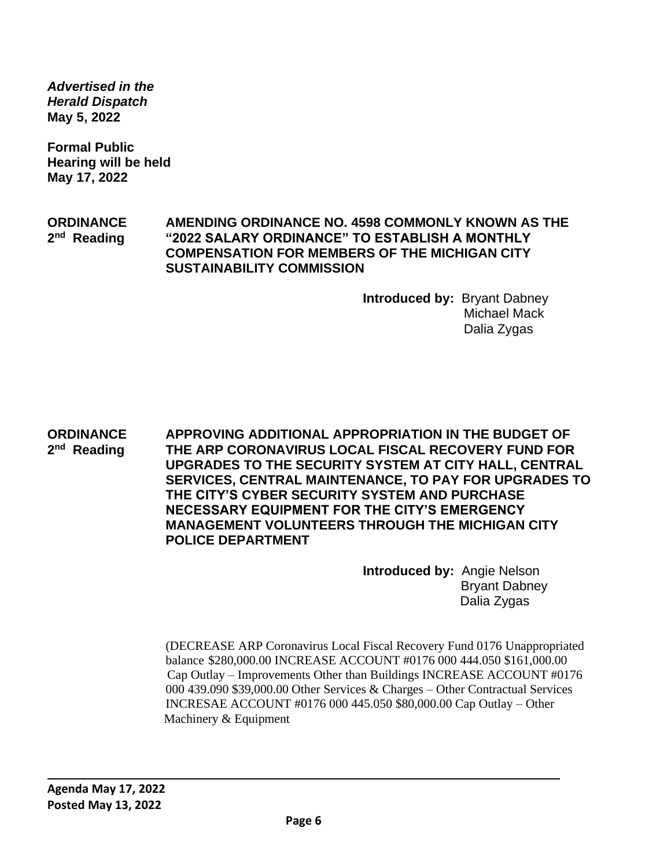*Advertised in the Herald Dispatch* **May 5, 2022**

**Formal Public Hearing will be held May 17, 2022**

**ORDINANCE AMENDING ORDINANCE NO. 4598 COMMONLY KNOWN AS THE**  2<sup>nd</sup> Reading **nd Reading "2022 SALARY ORDINANCE" TO ESTABLISH A MONTHLY COMPENSATION FOR MEMBERS OF THE MICHIGAN CITY SUSTAINABILITY COMMISSION**

> **Introduced by:** Bryant Dabney Michael Mack Dalia Zygas

**ORDINANCE APPROVING ADDITIONAL APPROPRIATION IN THE BUDGET OF**  2<sup>nd</sup> Reading **THE ARP CORONAVIRUS LOCAL FISCAL RECOVERY FUND FOR UPGRADES TO THE SECURITY SYSTEM AT CITY HALL, CENTRAL SERVICES, CENTRAL MAINTENANCE, TO PAY FOR UPGRADES TO THE CITY'S CYBER SECURITY SYSTEM AND PURCHASE NECESSARY EQUIPMENT FOR THE CITY'S EMERGENCY MANAGEMENT VOLUNTEERS THROUGH THE MICHIGAN CITY POLICE DEPARTMENT**

> **Introduced by:** Angie Nelson Bryant Dabney Dalia Zygas

(DECREASE ARP Coronavirus Local Fiscal Recovery Fund 0176 Unappropriated balance \$280,000.00 INCREASE ACCOUNT #0176 000 444.050 \$161,000.00 Cap Outlay – Improvements Other than Buildings INCREASE ACCOUNT #0176 000 439.090 \$39,000.00 Other Services & Charges – Other Contractual Services INCRESAE ACCOUNT #0176 000 445.050 \$80,000.00 Cap Outlay – Other Machinery & Equipment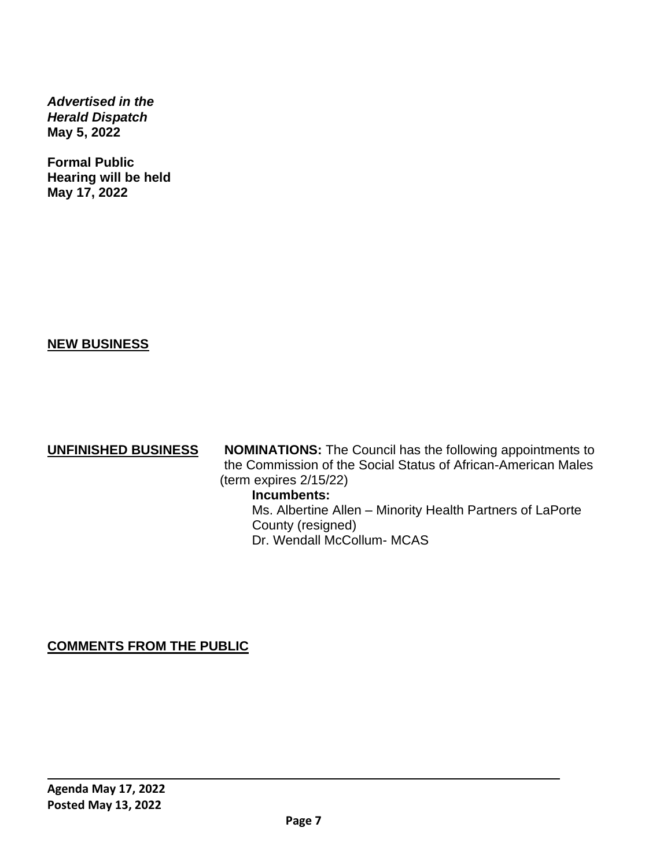*Advertised in the Herald Dispatch* **May 5, 2022**

**Formal Public Hearing will be held May 17, 2022**

**NEW BUSINESS**

**UNFINISHED BUSINESS NOMINATIONS:** The Council has the following appointments to the Commission of the Social Status of African-American Males (term expires 2/15/22)

### **Incumbents:**

 Ms. Albertine Allen – Minority Health Partners of LaPorte County (resigned) Dr. Wendall McCollum- MCAS

# **COMMENTS FROM THE PUBLIC**